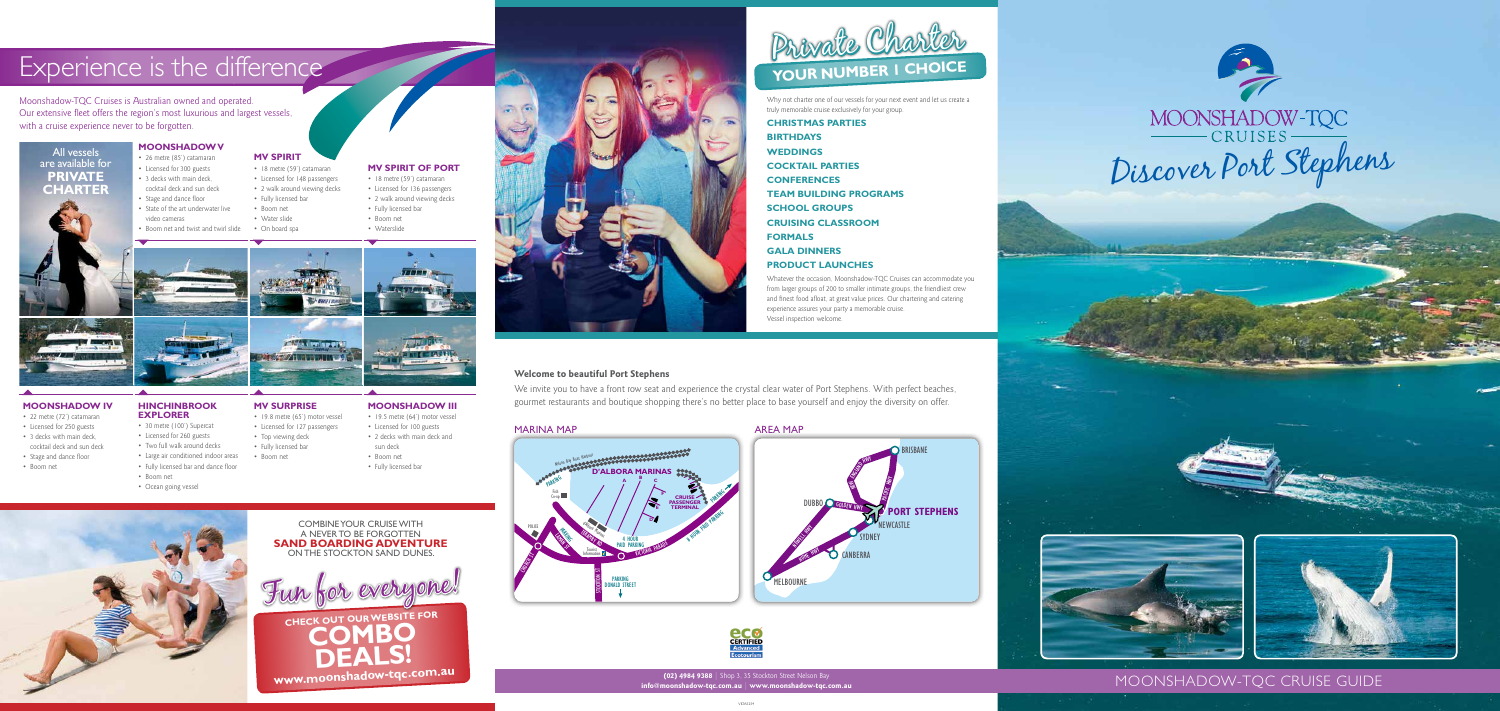## MOONSHADOW-TQC CRUISE GUIDE

Why not charter one of our vessels for your next event and let us create a truly memorable cruise exclusively for your group.

**CHRISTMAS PARTIES BIRTHDAYS WEDDINGS COCKTAIL PARTIES CONFERENCES TEAM BUILDING PROGRAMS SCHOOL GROUPS CRUISING CLASSROOM FORMALS GALA DINNERS PRODUCT LAUNCHES** 

Whatever the occasion, Moonshadow-TQC Cruises can accommodate you from larger groups of 200 to smaller intimate groups, the friendliest crew and finest food afloat, at great value prices. Our chartering and catering experience assures your party a memorable cruise. Vessel inspection welcome.



**eco** 



**(02) 4984 9388 |** Shop 3, 35 Stockton Street Nelson Bay

**info@moonshadow-tqc.com.au | www.moonshadow-tqc.com.au**

**Welcome to beautiful Port Stephens**

We invite you to have a front row seat and experience the crystal clear water of Port Stephens. With perfect beaches, gourmet restaurants and boutique shopping there's no better place to base yourself and enjoy the diversity on offer.

### MARINA MAP



### AREA MAP



# MOONSHADOW-TQC<br>CRUISES CRUISES





### **MOONSHADOW III**

- 19.5 metre (64') motor vessel
- Licensed for 100 guests
- 2 decks with main deck and
- sun deck
- Boom net
- Fully licensed bar

### **MOONSHADOW IV**

- 22 metre (72') catamaran
- Licensed for 250 guests
- 3 decks with main deck,
- cocktail deck and sun deck • Stage and dance floor
- Boom net
- 

### **HINCHINBROOK EXPLORER**

- 3 decks with main deck, cocktail deck and sun deck
- Stage and dance floor
- State of the art underwater live video cameras
- Boom net and twist and twirl slide
- **MV SPIRIT**
- 18 metre (59') catamaran
- Licensed for 148 passengers
- 2 walk around viewing decks • Fully licensed bar
- Boom net
- Water slide
- On board spa

- 30 metre (100') Supercat
- Licensed for 260 guests
- Two full walk around decks
- Large air conditioned indoor areas
- Fully licensed bar and dance floor



### **MOONSHADOW V** • 26 metre (85') catamaran • Licensed for 300 guests All vessels are available for **PRIVATE**

- 19.8 metre (65') motor vessel
- Licensed for 127 passengers
- Top viewing deck • Fully licensed bar
- Boom net
- 
- Boom net
- Ocean going vessel

### **MV SPIRIT OF PORT**

- 18 metre (59') catamaran
- Licensed for 136 passengers
- 2 walk around viewing decks • Fully licensed bar
- Boom net
- Waterslide



### **MV SURPRISE**

**CHARTER**

## Experience is the difference

Moonshadow-TQC Cruises is Australian owned and operated. Our extensive fleet offers the region's most luxurious and largest vessels, with a cruise experience never to be forgotten.

**DEALS!**



COMBINE YOUR CRUISE WITH A NEVER TO BE FORGOTTEN **SAND BOARDING ADVENTURE** ON THE STOCKTON SAND DUNES.